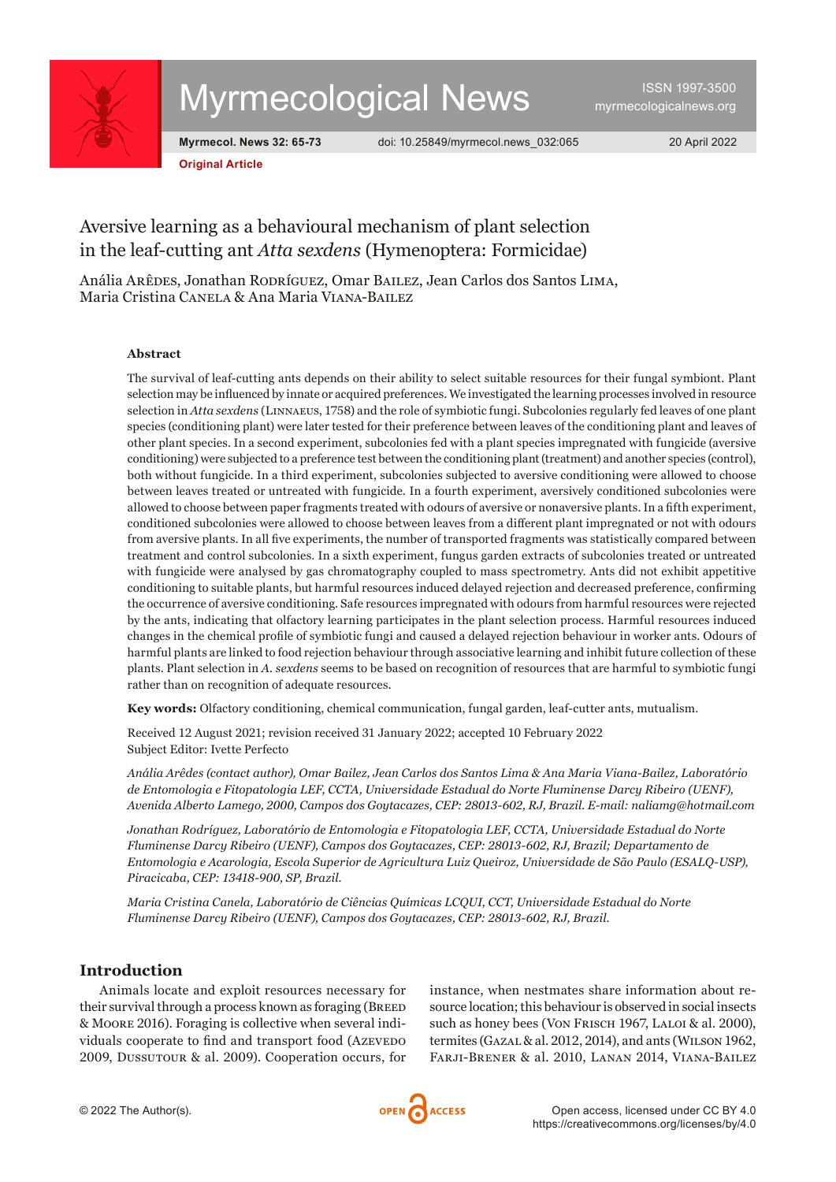

# Myrmecological News

ISSN 1997-3500 [myrmecologicalnews.org](https://myrmecologicalnews.org)

**Original Article**

**Myrmecol. News 32: 65-73** doi: [10.25849/myrmecol.news\\_032:065](https://doi.org/10.25849/myrmecol.news_032:065) 20 April 2022

# Aversive learning as a behavioural mechanism of plant selection in the leaf-cutting ant *Atta sexdens* (Hymenoptera: Formicidae)

Anália Arêdes, Jonathan Rodríguez, Omar Bailez, Jean Carlos dos Santos Lima, Maria Cristina Canela & Ana Maria Viana-Bailez

#### **Abstract**

The survival of leaf-cutting ants depends on their ability to select suitable resources for their fungal symbiont. Plant selection may be influenced by innate or acquired preferences. We investigated the learning processes involved in resource selection in *Atta sexdens* (Linnaeus, 1758) and the role of symbiotic fungi. Subcolonies regularly fed leaves of one plant species (conditioning plant) were later tested for their preference between leaves of the conditioning plant and leaves of other plant species. In a second experiment, subcolonies fed with a plant species impregnated with fungicide (aversive conditioning) were subjected to a preference test between the conditioning plant (treatment) and another species (control), both without fungicide. In a third experiment, subcolonies subjected to aversive conditioning were allowed to choose between leaves treated or untreated with fungicide. In a fourth experiment, aversively conditioned subcolonies were allowed to choose between paper fragments treated with odours of aversive or nonaversive plants. In a fifth experiment, conditioned subcolonies were allowed to choose between leaves from a different plant impregnated or not with odours from aversive plants. In all five experiments, the number of transported fragments was statistically compared between treatment and control subcolonies. In a sixth experiment, fungus garden extracts of subcolonies treated or untreated with fungicide were analysed by gas chromatography coupled to mass spectrometry. Ants did not exhibit appetitive conditioning to suitable plants, but harmful resources induced delayed rejection and decreased preference, confirming the occurrence of aversive conditioning. Safe resources impregnated with odours from harmful resources were rejected by the ants, indicating that olfactory learning participates in the plant selection process. Harmful resources induced changes in the chemical profile of symbiotic fungi and caused a delayed rejection behaviour in worker ants. Odours of harmful plants are linked to food rejection behaviour through associative learning and inhibit future collection of these plants. Plant selection in *A. sexdens* seems to be based on recognition of resources that are harmful to symbiotic fungi rather than on recognition of adequate resources.

**Key words:** Olfactory conditioning, chemical communication, fungal garden, leaf-cutter ants, mutualism.

Received 12 August 2021; revision received 31 January 2022; accepted 10 February 2022 Subject Editor: Ivette Perfecto

*Anália Arêdes (contact author), Omar Bailez, Jean Carlos dos Santos Lima & Ana Maria Viana-Bailez, Laboratório de Entomologia e Fitopatologia LEF, CCTA, Universidade Estadual do Norte Fluminense Darcy Ribeiro (UENF), Avenida Alberto Lamego, 2000, Campos dos Goytacazes, CEP: 28013-602, RJ, Brazil. E-mail: naliamg@hotmail.com*

*Jonathan Rodríguez, Laboratório de Entomologia e Fitopatologia LEF, CCTA, Universidade Estadual do Norte Fluminense Darcy Ribeiro (UENF), Campos dos Goytacazes, CEP: 28013-602, RJ, Brazil; Departamento de Entomologia e Acarologia, Escola Superior de Agricultura Luiz Queiroz, Universidade de São Paulo (ESALQ-USP), Piracicaba, CEP: 13418-900, SP, Brazil.*

*Maria Cristina Canela, Laboratório de Ciências Químicas LCQUI, CCT, Universidade Estadual do Norte Fluminense Darcy Ribeiro (UENF), Campos dos Goytacazes, CEP: 28013-602, RJ, Brazil.*

# **Introduction**

Animals locate and exploit resources necessary for their survival through a process known as foraging (Breed & Moore 2016). Foraging is collective when several individuals cooperate to find and transport food (Azevedo 2009, Dussutour & al. 2009). Cooperation occurs, for

instance, when nestmates share information about resource location; this behaviour is observed in social insects such as honey bees (Von Frisch 1967, LALOI & al. 2000), termites (Gazal & al. 2012, 2014), and ants (Wilson 1962, Farji-Brener & al. 2010, Lanan 2014, Viana-Bailez

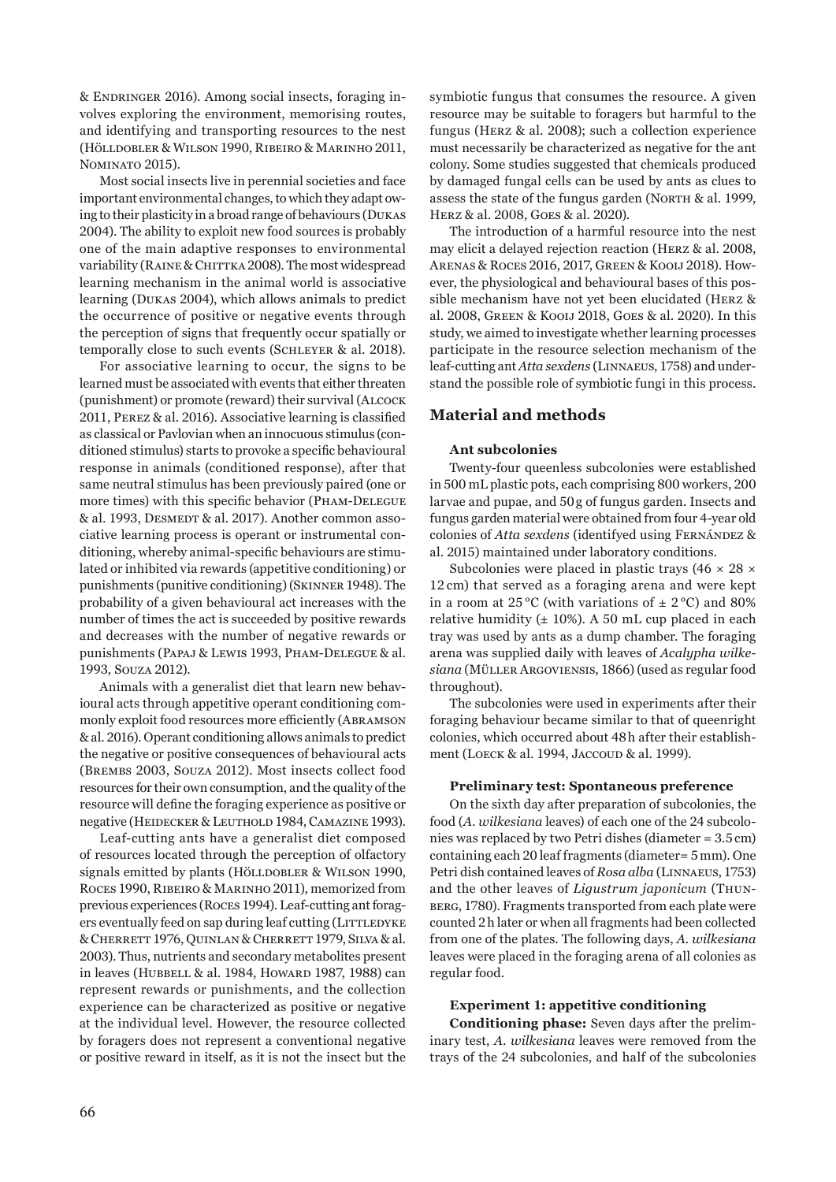& Endringer 2016). Among social insects, foraging involves exploring the environment, memorising routes, and identifying and transporting resources to the nest (Hölldobler & Wilson 1990, Ribeiro & Marinho 2011, Nominato 2015).

Most social insects live in perennial societies and face important environmental changes, to which they adapt owing to their plasticity in a broad range of behaviours (Dukas 2004). The ability to exploit new food sources is probably one of the main adaptive responses to environmental variability (RAINE & CHITTKA 2008). The most widespread learning mechanism in the animal world is associative learning (Dukas 2004), which allows animals to predict the occurrence of positive or negative events through the perception of signs that frequently occur spatially or temporally close to such events (SCHLEYER & al. 2018).

For associative learning to occur, the signs to be learned must be associated with events that either threaten (punishment) or promote (reward) their survival (Alcock 2011, Perez & al. 2016). Associative learning is classified as classical or Pavlovian when an innocuous stimulus (conditioned stimulus) starts to provoke a specific behavioural response in animals (conditioned response), after that same neutral stimulus has been previously paired (one or more times) with this specific behavior (Pham-Delegue & al. 1993, DESMEDT & al. 2017). Another common associative learning process is operant or instrumental conditioning, whereby animal-specific behaviours are stimulated or inhibited via rewards (appetitive conditioning) or punishments (punitive conditioning) (Skinner 1948). The probability of a given behavioural act increases with the number of times the act is succeeded by positive rewards and decreases with the number of negative rewards or punishments (Papaj & Lewis 1993, Pham-Delegue & al. 1993, Souza 2012).

Animals with a generalist diet that learn new behavioural acts through appetitive operant conditioning commonly exploit food resources more efficiently (Abramson & al. 2016). Operant conditioning allows animals to predict the negative or positive consequences of behavioural acts (Brembs 2003, Souza 2012). Most insects collect food resources for their own consumption, and the quality of the resource will define the foraging experience as positive or negative (HEIDECKER & LEUTHOLD 1984, CAMAZINE 1993).

Leaf-cutting ants have a generalist diet composed of resources located through the perception of olfactory signals emitted by plants (HÖLLDOBLER & WILSON 1990, Roces 1990, Ribeiro & Marinho 2011), memorized from previous experiences (Roces 1994). Leaf-cutting ant foragers eventually feed on sap during leaf cutting (LITTLEDYKE & Cherrett 1976, Quinlan & Cherrett 1979, Silva & al. 2003). Thus, nutrients and secondary metabolites present in leaves (HUBBELL & al. 1984, HOWARD 1987, 1988) can represent rewards or punishments, and the collection experience can be characterized as positive or negative at the individual level. However, the resource collected by foragers does not represent a conventional negative or positive reward in itself, as it is not the insect but the symbiotic fungus that consumes the resource. A given resource may be suitable to foragers but harmful to the fungus (Herz & al. 2008); such a collection experience must necessarily be characterized as negative for the ant colony. Some studies suggested that chemicals produced by damaged fungal cells can be used by ants as clues to assess the state of the fungus garden (North & al. 1999, Herz & al. 2008, Goes & al. 2020).

The introduction of a harmful resource into the nest may elicit a delayed rejection reaction (Herz & al. 2008, Arenas & Roces 2016, 2017, Green & Kooij 2018). However, the physiological and behavioural bases of this possible mechanism have not yet been elucidated (Herz & al. 2008, Green & Kooij 2018, Goes & al. 2020). In this study, we aimed to investigate whether learning processes participate in the resource selection mechanism of the leaf-cutting ant *Atta sexdens* (Linnaeus, 1758) and understand the possible role of symbiotic fungi in this process.

# **Material and methods**

#### **Ant subcolonies**

Twenty-four queenless subcolonies were established in 500 mL plastic pots, each comprising 800 workers, 200 larvae and pupae, and 50g of fungus garden. Insects and fungus garden material were obtained from four 4-year old colonies of *Atta sexdens* (identifyed using Fernández & al. 2015) maintained under laboratory conditions.

Subcolonies were placed in plastic trays (46  $\times$  28  $\times$ 12 cm) that served as a foraging arena and were kept in a room at 25 °C (with variations of  $\pm$  2 °C) and 80% relative humidity ( $\pm$  10%). A 50 mL cup placed in each tray was used by ants as a dump chamber. The foraging arena was supplied daily with leaves of *Acalypha wilkesiana* (Müller Argoviensis, 1866) (used as regular food throughout).

The subcolonies were used in experiments after their foraging behaviour became similar to that of queenright colonies, which occurred about 48h after their establishment (LOECK & al. 1994, JACCOUD & al. 1999).

## **Preliminary test: Spontaneous preference**

On the sixth day after preparation of subcolonies, the food (*A. wilkesiana* leaves) of each one of the 24 subcolonies was replaced by two Petri dishes (diameter = 3.5cm) containing each 20 leaf fragments (diameter= 5mm). One Petri dish contained leaves of *Rosa alba* (Linnaeus, 1753) and the other leaves of *Ligustrum japonicum* (Thunberg, 1780). Fragments transported from each plate were counted 2h later or when all fragments had been collected from one of the plates. The following days, *A. wilkesiana* leaves were placed in the foraging arena of all colonies as regular food.

#### **Experiment 1: appetitive conditioning**

**Conditioning phase:** Seven days after the preliminary test, *A. wilkesiana* leaves were removed from the trays of the 24 subcolonies, and half of the subcolonies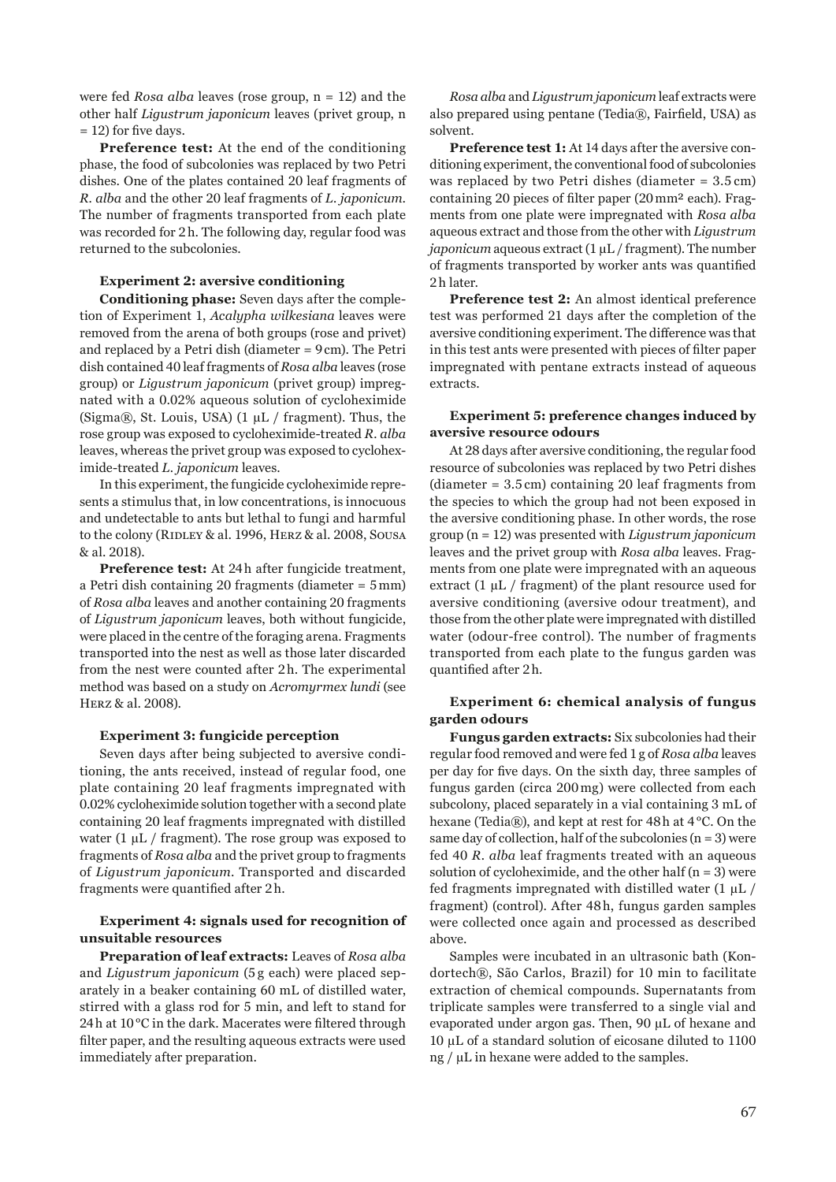were fed *Rosa alba* leaves (rose group, n = 12) and the other half *Ligustrum japonicum* leaves (privet group, n = 12) for five days.

**Preference test:** At the end of the conditioning phase, the food of subcolonies was replaced by two Petri dishes. One of the plates contained 20 leaf fragments of *R. alba* and the other 20 leaf fragments of *L. japonicum*. The number of fragments transported from each plate was recorded for 2h. The following day, regular food was returned to the subcolonies.

#### **Experiment 2: aversive conditioning**

**Conditioning phase:** Seven days after the completion of Experiment 1, *Acalypha wilkesiana* leaves were removed from the arena of both groups (rose and privet) and replaced by a Petri dish (diameter = 9cm). The Petri dish contained 40 leaf fragments of *Rosa alba* leaves (rose group) or *Ligustrum japonicum* (privet group) impregnated with a 0.02% aqueous solution of cycloheximide (Sigma®, St. Louis, USA)  $(1 \mu L /$  fragment). Thus, the rose group was exposed to cycloheximide-treated *R. alba* leaves, whereas the privet group was exposed to cycloheximide-treated *L. japonicum* leaves.

In this experiment, the fungicide cycloheximide represents a stimulus that, in low concentrations, is innocuous and undetectable to ants but lethal to fungi and harmful to the colony (RIDLEY & al. 1996, HERZ & al. 2008, SOUSA & al. 2018).

**Preference test:** At 24h after fungicide treatment, a Petri dish containing 20 fragments (diameter = 5mm) of *Rosa alba* leaves and another containing 20 fragments of *Ligustrum japonicum* leaves, both without fungicide, were placed in the centre of the foraging arena. Fragments transported into the nest as well as those later discarded from the nest were counted after 2h. The experimental method was based on a study on *Acromyrmex lundi* (see Herz & al. 2008).

#### **Experiment 3: fungicide perception**

Seven days after being subjected to aversive conditioning, the ants received, instead of regular food, one plate containing 20 leaf fragments impregnated with 0.02% cycloheximide solution together with a second plate containing 20 leaf fragments impregnated with distilled water (1  $\mu$ L / fragment). The rose group was exposed to fragments of *Rosa alba* and the privet group to fragments of *Ligustrum japonicum*. Transported and discarded fragments were quantified after 2h.

# **Experiment 4: signals used for recognition of unsuitable resources**

**Preparation of leaf extracts:** Leaves of *Rosa alba* and *Ligustrum japonicum* (5 g each) were placed separately in a beaker containing 60 mL of distilled water, stirred with a glass rod for 5 min, and left to stand for 24h at 10°C in the dark. Macerates were filtered through filter paper, and the resulting aqueous extracts were used immediately after preparation.

*Rosa alba* and *Ligustrum japonicum* leaf extracts were also prepared using pentane (Tedia®, Fairfield, USA) as solvent.

**Preference test 1:** At 14 days after the aversive conditioning experiment, the conventional food of subcolonies was replaced by two Petri dishes (diameter = 3.5 cm) containing 20 pieces of filter paper (20mm² each). Fragments from one plate were impregnated with *Rosa alba* aqueous extract and those from the other with *Ligustrum japonicum* aqueous extract (1 µL / fragment). The number of fragments transported by worker ants was quantified 2h later.

**Preference test 2:** An almost identical preference test was performed 21 days after the completion of the aversive conditioning experiment. The difference was that in this test ants were presented with pieces of filter paper impregnated with pentane extracts instead of aqueous extracts.

# **Experiment 5: preference changes induced by aversive resource odours**

At 28 days after aversive conditioning, the regular food resource of subcolonies was replaced by two Petri dishes (diameter = 3.5 cm) containing 20 leaf fragments from the species to which the group had not been exposed in the aversive conditioning phase. In other words, the rose group (n = 12) was presented with *Ligustrum japonicum* leaves and the privet group with *Rosa alba* leaves. Fragments from one plate were impregnated with an aqueous extract  $(1 \mu L /$  fragment) of the plant resource used for aversive conditioning (aversive odour treatment), and those from the other plate were impregnated with distilled water (odour-free control). The number of fragments transported from each plate to the fungus garden was quantified after 2h.

# **Experiment 6: chemical analysis of fungus garden odours**

**Fungus garden extracts:** Six subcolonies had their regular food removed and were fed 1g of *Rosa alba* leaves per day for five days. On the sixth day, three samples of fungus garden (circa 200mg) were collected from each subcolony, placed separately in a vial containing 3 mL of hexane (Tedia®), and kept at rest for 48h at 4°C. On the same day of collection, half of the subcolonies  $(n = 3)$  were fed 40 *R. alba* leaf fragments treated with an aqueous solution of cycloheximide, and the other half  $(n = 3)$  were fed fragments impregnated with distilled water  $(1 \mu L)$ fragment) (control). After 48 h, fungus garden samples were collected once again and processed as described above.

Samples were incubated in an ultrasonic bath (Kondortech®, São Carlos, Brazil) for 10 min to facilitate extraction of chemical compounds. Supernatants from triplicate samples were transferred to a single vial and evaporated under argon gas. Then, 90 µL of hexane and 10 µL of a standard solution of eicosane diluted to 1100 ng / µL in hexane were added to the samples.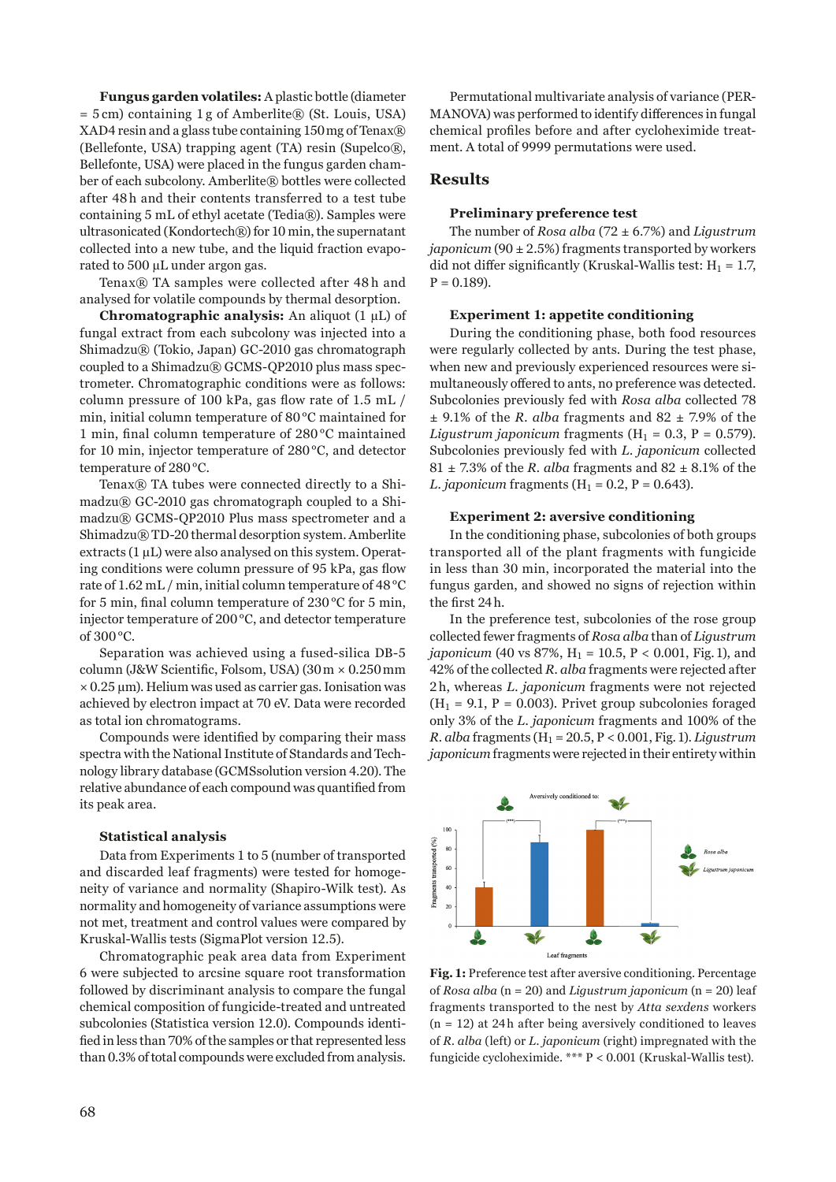**Fungus garden volatiles:** A plastic bottle (diameter = 5 cm) containing 1 g of Amberlite® (St. Louis, USA) XAD4 resin and a glass tube containing 150mg of Tenax® (Bellefonte, USA) trapping agent (TA) resin (Supelco®, Bellefonte, USA) were placed in the fungus garden chamber of each subcolony. Amberlite® bottles were collected after 48 h and their contents transferred to a test tube containing 5 mL of ethyl acetate (Tedia®). Samples were ultrasonicated (Kondortech®) for 10 min, the supernatant collected into a new tube, and the liquid fraction evaporated to 500 µL under argon gas.

Tenax® TA samples were collected after 48 h and analysed for volatile compounds by thermal desorption.

**Chromatographic analysis:** An aliquot (1 µL) of fungal extract from each subcolony was injected into a Shimadzu® (Tokio, Japan) GC-2010 gas chromatograph coupled to a Shimadzu® GCMS-QP2010 plus mass spectrometer. Chromatographic conditions were as follows: column pressure of 100 kPa, gas flow rate of 1.5 mL / min, initial column temperature of 80°C maintained for 1 min, final column temperature of 280 °C maintained for 10 min, injector temperature of 280°C, and detector temperature of 280°C.

Tenax® TA tubes were connected directly to a Shimadzu® GC-2010 gas chromatograph coupled to a Shimadzu® GCMS-QP2010 Plus mass spectrometer and a Shimadzu® TD-20 thermal desorption system. Amberlite extracts  $(1 \mu L)$  were also analysed on this system. Operating conditions were column pressure of 95 kPa, gas flow rate of 1.62 mL / min, initial column temperature of 48°C for 5 min, final column temperature of 230°C for 5 min, injector temperature of 200°C, and detector temperature of 300°C.

Separation was achieved using a fused-silica DB-5 column (J&W Scientific, Folsom, USA) (30m × 0.250mm  $\times$  0.25  $\mu$ m). Helium was used as carrier gas. Ionisation was achieved by electron impact at 70 eV. Data were recorded as total ion chromatograms.

Compounds were identified by comparing their mass spectra with the National Institute of Standards and Technology library database (GCMSsolution version 4.20). The relative abundance of each compound was quantified from its peak area.

#### **Statistical analysis**

Data from Experiments 1 to 5 (number of transported and discarded leaf fragments) were tested for homogeneity of variance and normality (Shapiro-Wilk test). As normality and homogeneity of variance assumptions were not met, treatment and control values were compared by Kruskal-Wallis tests (SigmaPlot version 12.5).

Chromatographic peak area data from Experiment 6 were subjected to arcsine square root transformation followed by discriminant analysis to compare the fungal chemical composition of fungicide-treated and untreated subcolonies (Statistica version 12.0). Compounds identified in less than 70% of the samples or that represented less than 0.3% of total compounds were excluded from analysis.

Permutational multivariate analysis of variance (PER-MANOVA) was performed to identify differences in fungal chemical profiles before and after cycloheximide treatment. A total of 9999 permutations were used.

# **Results**

#### **Preliminary preference test**

The number of *Rosa alba* (72 ± 6.7%) and *Ligustrum japonicum* (90 ± 2.5%) fragments transported by workers did not differ significantly (Kruskal-Wallis test:  $H_1 = 1.7$ ,  $P = 0.189$ .

#### **Experiment 1: appetite conditioning**

During the conditioning phase, both food resources were regularly collected by ants. During the test phase, when new and previously experienced resources were simultaneously offered to ants, no preference was detected. Subcolonies previously fed with *Rosa alba* collected 78  $\pm$  9.1% of the *R*. *alba* fragments and 82  $\pm$  7.9% of the *Ligustrum japonicum* fragments ( $H_1 = 0.3$ ,  $P = 0.579$ ). Subcolonies previously fed with *L. japonicum* collected  $81 \pm 7.3\%$  of the *R. alba* fragments and  $82 \pm 8.1\%$  of the *L. japonicum* fragments ( $H_1 = 0.2$ ,  $P = 0.643$ ).

#### **Experiment 2: aversive conditioning**

In the conditioning phase, subcolonies of both groups transported all of the plant fragments with fungicide in less than 30 min, incorporated the material into the fungus garden, and showed no signs of rejection within the first 24h.

In the preference test, subcolonies of the rose group collected fewer fragments of *Rosa alba* than of *Ligustrum japonicum* (40 vs 87%,  $H_1 = 10.5$ ,  $P < 0.001$ , Fig. 1), and 42% of the collected *R. alba* fragments were rejected after 2h, whereas *L. japonicum* fragments were not rejected  $(H<sub>1</sub> = 9.1, P = 0.003)$ . Privet group subcolonies foraged only 3% of the *L. japonicum* fragments and 100% of the *R. alba* fragments (H1 = 20.5, P < 0.001, Fig.1). *Ligustrum japonicum* fragments were rejected in their entirety within



**Fig.1:** Preference test after aversive conditioning. Percentage of *Rosa alba* (n = 20) and *Ligustrum japonicum* (n = 20) leaf fragments transported to the nest by *Atta sexdens* workers  $(n = 12)$  at 24h after being aversively conditioned to leaves of *R. alba* (left) or *L. japonicum* (right) impregnated with the fungicide cycloheximide. \*\*\* P < 0.001 (Kruskal-Wallis test).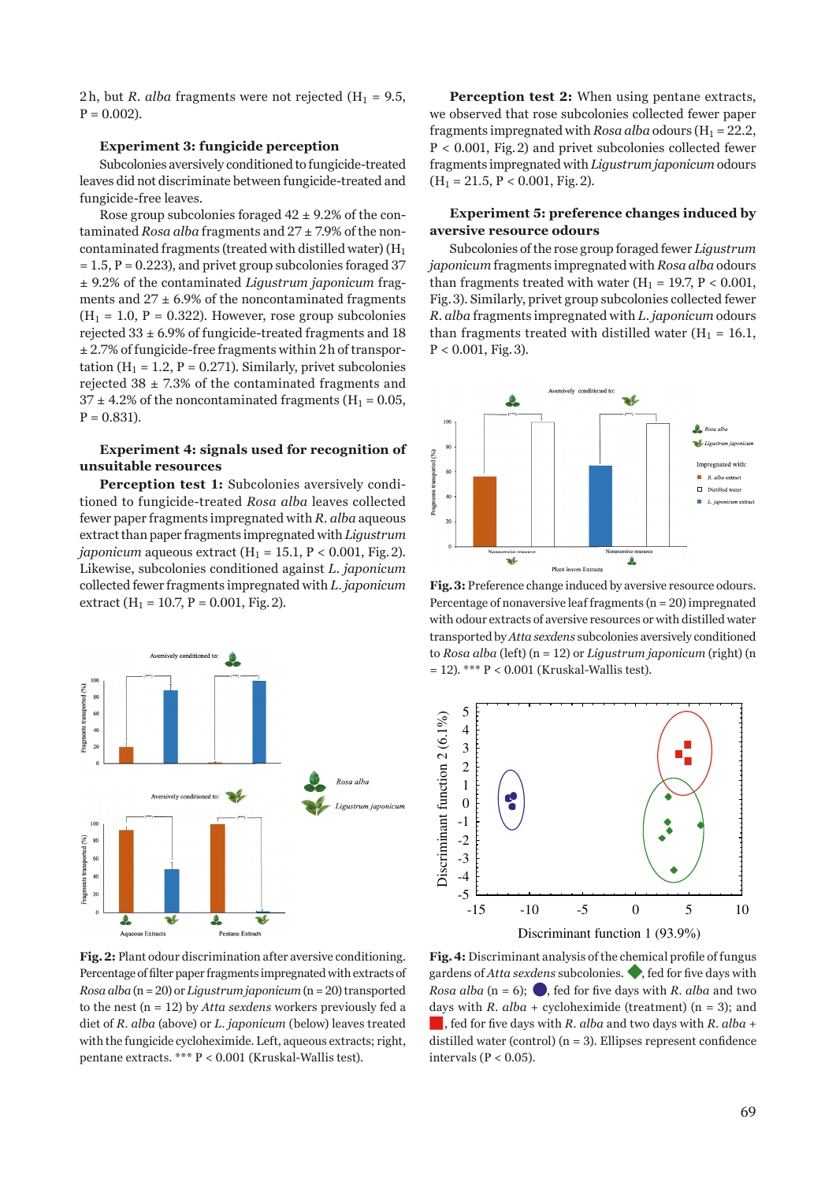2h, but *R. alba* fragments were not rejected  $(H_1 = 9.5,$  $P = 0.002$ ).

# **Experiment 3: fungicide perception**

Subcolonies aversively conditioned to fungicide-treated leaves did not discriminate between fungicide-treated and fungicide-free leaves.

Rose group subcolonies foraged  $42 \pm 9.2\%$  of the contaminated *Rosa alba* fragments and 27 ± 7.9% of the noncontaminated fragments (treated with distilled water)  $(H_1)$  $= 1.5$ ,  $P = 0.223$ ), and privet group subcolonies foraged 37 ± 9.2% of the contaminated *Ligustrum japonicum* fragments and  $27 \pm 6.9\%$  of the noncontaminated fragments  $(H<sub>1</sub> = 1.0, P = 0.322)$ . However, rose group subcolonies rejected 33 ± 6.9% of fungicide-treated fragments and 18 ± 2.7% of fungicide-free fragments within 2h of transportation ( $H_1 = 1.2$ ,  $P = 0.271$ ). Similarly, privet subcolonies rejected  $38 \pm 7.3\%$  of the contaminated fragments and  $37 \pm 4.2\%$  of the noncontaminated fragments (H<sub>1</sub> = 0.05,  $P = 0.831$ ).

# **Experiment 4: signals used for recognition of unsuitable resources**

Perception test 1: Subcolonies aversively conditioned to fungicide-treated *Rosa alba* leaves collected fewer paper fragments impregnated with *R. alba* aqueous extract than paper fragments impregnated with *Ligustrum japonicum* aqueous extract ( $H_1 = 15.1$ ,  $P < 0.001$ , Fig. 2). Likewise, subcolonies conditioned against *L. japonicum* collected fewer fragments impregnated with *L. japonicum* extract ( $H_1 = 10.7$ ,  $P = 0.001$ , Fig. 2).



Perception test 2: When using pentane extracts, we observed that rose subcolonies collected fewer paper fragments impregnated with *Rosa alba* odours ( $H_1 = 22.2$ , P < 0.001, Fig.2) and privet subcolonies collected fewer fragments impregnated with *Ligustrum japonicum* odours  $(H<sub>1</sub> = 21.5, P < 0.001, Fig. 2).$ 

# **Experiment 5: preference changes induced by aversive resource odours**

Subcolonies of the rose group foraged fewer *Ligustrum japonicum* fragments impregnated with *Rosa alba* odours than fragments treated with water ( $H_1 = 19.7$ ,  $P < 0.001$ , Fig.3). Similarly, privet group subcolonies collected fewer *R. alba* fragments impregnated with *L. japonicum* odours than fragments treated with distilled water  $(H_1 = 16.1,$  $P < 0.001$ , Fig. 3).



**Fig.3:** Preference change induced by aversive resource odours. Percentage of nonaversive leaf fragments (n = 20) impregnated with odour extracts of aversive resources or with distilled water transported by *Atta sexdens* subcolonies aversively conditioned to *Rosa alba* (left) (n = 12) or *Ligustrum japonicum* (right) (n  $= 12$ ). \*\*\* P < 0.001 (Kruskal-Wallis test).



**Fig.2:** Plant odour discrimination after aversive conditioning. Percentage of filter paper fragments impregnated with extracts of *Rosa alba* (n = 20) or *Ligustrum japonicum* (n = 20) transported to the nest (n = 12) by *Atta sexdens* workers previously fed a diet of *R. alba* (above) or *L. japonicum* (below) leaves treated with the fungicide cycloheximide. Left, aqueous extracts; right, pentane extracts. \*\*\* P < 0.001 (Kruskal-Wallis test).

**Fig.4:** Discriminant analysis of the chemical profile of fungus gardens of *Atta sexdens* subcolonies. ◆, fed for five days with *Rosa alba* ( $n = 6$ ); **e**, fed for five days with *R. alba* and two days with *R. alba* + cycloheximide (treatment) ( $n = 3$ ); and ■, fed for five days with *R. alba* and two days with *R. alba*<sup>+</sup> distilled water (control)  $(n = 3)$ . Ellipses represent confidence intervals (P < 0.05).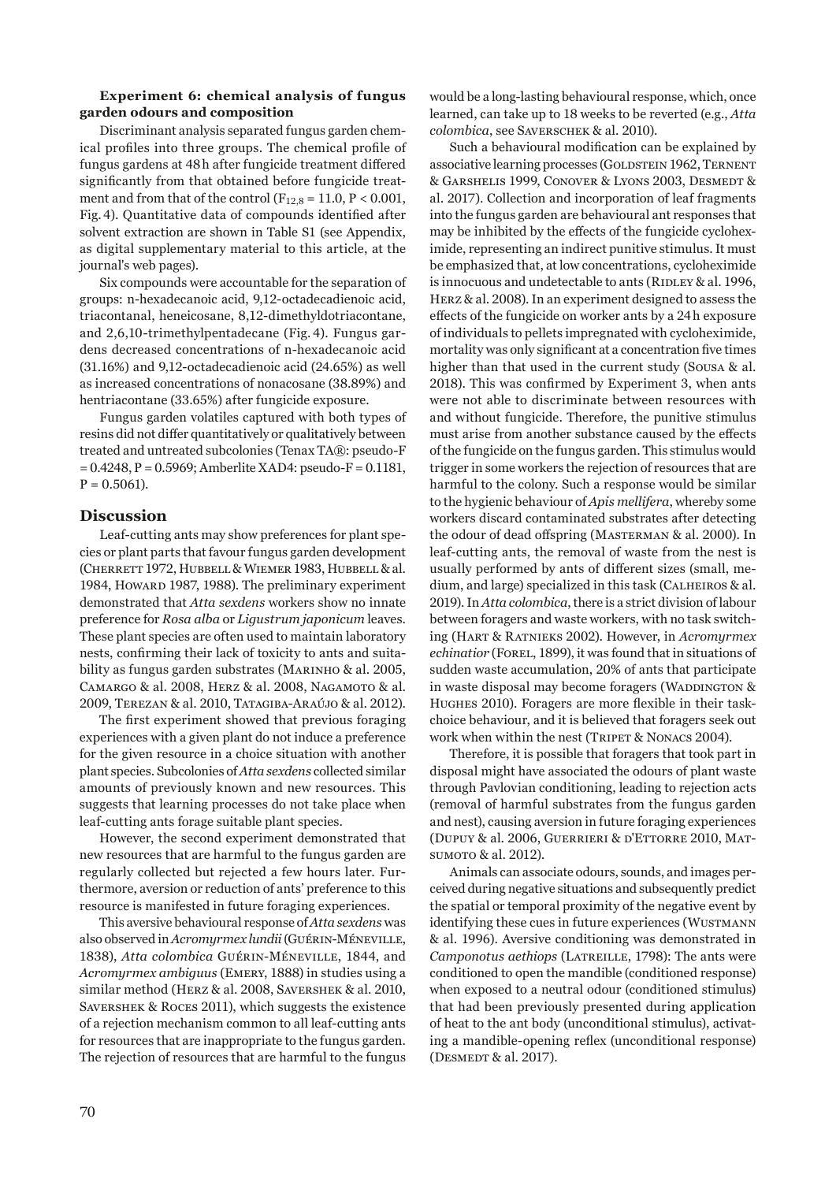### **Experiment 6: chemical analysis of fungus garden odours and composition**

Discriminant analysis separated fungus garden chemical profiles into three groups. The chemical profile of fungus gardens at 48h after fungicide treatment differed significantly from that obtained before fungicide treatment and from that of the control ( $F_{12,8} = 11.0$ ,  $P < 0.001$ , Fig.4). Quantitative data of compounds identified after solvent extraction are shown in Table S1 (see Appendix, as digital supplementary material to this article, at the journal's web pages).

Six compounds were accountable for the separation of groups: n-hexadecanoic acid, 9,12-octadecadienoic acid, triacontanal, heneicosane, 8,12-dimethyldotriacontane, and 2,6,10-trimethylpentadecane (Fig. 4). Fungus gardens decreased concentrations of n-hexadecanoic acid (31.16%) and 9,12-octadecadienoic acid (24.65%) as well as increased concentrations of nonacosane (38.89%) and hentriacontane (33.65%) after fungicide exposure.

Fungus garden volatiles captured with both types of resins did not differ quantitatively or qualitatively between treated and untreated subcolonies (Tenax TA®: pseudo-F  $= 0.4248$ , P = 0.5969; Amberlite XAD4: pseudo-F = 0.1181,  $P = 0.5061$ ).

# **Discussion**

Leaf-cutting ants may show preferences for plant species or plant parts that favour fungus garden development (Cherrett 1972, Hubbell & Wiemer 1983, Hubbell & al. 1984, Howard 1987, 1988). The preliminary experiment demonstrated that *Atta sexdens* workers show no innate preference for *Rosa alba* or *Ligustrum japonicum* leaves. These plant species are often used to maintain laboratory nests, confirming their lack of toxicity to ants and suitability as fungus garden substrates (MARINHO & al. 2005, Camargo & al. 2008, Herz & al. 2008, Nagamoto & al. 2009, Terezan & al. 2010, Tatagiba-Araújo & al. 2012).

The first experiment showed that previous foraging experiences with a given plant do not induce a preference for the given resource in a choice situation with another plant species. Subcolonies of *Atta sexdens* collected similar amounts of previously known and new resources. This suggests that learning processes do not take place when leaf-cutting ants forage suitable plant species.

However, the second experiment demonstrated that new resources that are harmful to the fungus garden are regularly collected but rejected a few hours later. Furthermore, aversion or reduction of ants' preference to this resource is manifested in future foraging experiences.

This aversive behavioural response of *Atta sexdens* was also observed in *Acromyrmex lundii*(Guérin-Méneville, 1838), *Atta colombica* Guérin-Méneville, 1844, and *Acromyrmex ambiguus* (Emery, 1888) in studies using a similar method (Herz & al. 2008, Savershek & al. 2010, SAVERSHEK & ROCES 2011), which suggests the existence of a rejection mechanism common to all leaf-cutting ants for resources that are inappropriate to the fungus garden. The rejection of resources that are harmful to the fungus would be a long-lasting behavioural response, which, once learned, can take up to 18 weeks to be reverted (e.g., *Atta colombica*, see Saverschek & al. 2010).

Such a behavioural modification can be explained by associative learning processes (GOLDSTEIN 1962, TERNENT & Garshelis 1999, Conover & Lyons 2003, Desmedt & al. 2017). Collection and incorporation of leaf fragments into the fungus garden are behavioural ant responses that may be inhibited by the effects of the fungicide cycloheximide, representing an indirect punitive stimulus. It must be emphasized that, at low concentrations, cycloheximide is innocuous and undetectable to ants (RIDLEY & al. 1996, Herz & al. 2008). In an experiment designed to assess the effects of the fungicide on worker ants by a 24h exposure of individuals to pellets impregnated with cycloheximide, mortality was only significant at a concentration five times higher than that used in the current study (Sousa & al. 2018). This was confirmed by Experiment 3, when ants were not able to discriminate between resources with and without fungicide. Therefore, the punitive stimulus must arise from another substance caused by the effects of the fungicide on the fungus garden. This stimulus would trigger in some workers the rejection of resources that are harmful to the colony. Such a response would be similar to the hygienic behaviour of *Apis mellifera*, whereby some workers discard contaminated substrates after detecting the odour of dead offspring (Masterman & al. 2000). In leaf-cutting ants, the removal of waste from the nest is usually performed by ants of different sizes (small, medium, and large) specialized in this task (Calheiros & al. 2019). In *Atta colombica*, there is a strict division of labour between foragers and waste workers, with no task switching (Hart & Ratnieks 2002). However, in *Acromyrmex echinatior* (FOREL, 1899), it was found that in situations of sudden waste accumulation, 20% of ants that participate in waste disposal may become foragers (WADDINGTON & Hughes 2010). Foragers are more flexible in their taskchoice behaviour, and it is believed that foragers seek out work when within the nest (TRIPET & NONACS 2004).

Therefore, it is possible that foragers that took part in disposal might have associated the odours of plant waste through Pavlovian conditioning, leading to rejection acts (removal of harmful substrates from the fungus garden and nest), causing aversion in future foraging experiences (Dupuy & al. 2006, Guerrieri & d'Ettorre 2010, Matsumoro & al. 2012).

Animals can associate odours, sounds, and images perceived during negative situations and subsequently predict the spatial or temporal proximity of the negative event by identifying these cues in future experiences (WUSTMANN & al. 1996). Aversive conditioning was demonstrated in *Camponotus aethiops* (LATREILLE, 1798): The ants were conditioned to open the mandible (conditioned response) when exposed to a neutral odour (conditioned stimulus) that had been previously presented during application of heat to the ant body (unconditional stimulus), activating a mandible-opening reflex (unconditional response) (DESMEDT & al. 2017).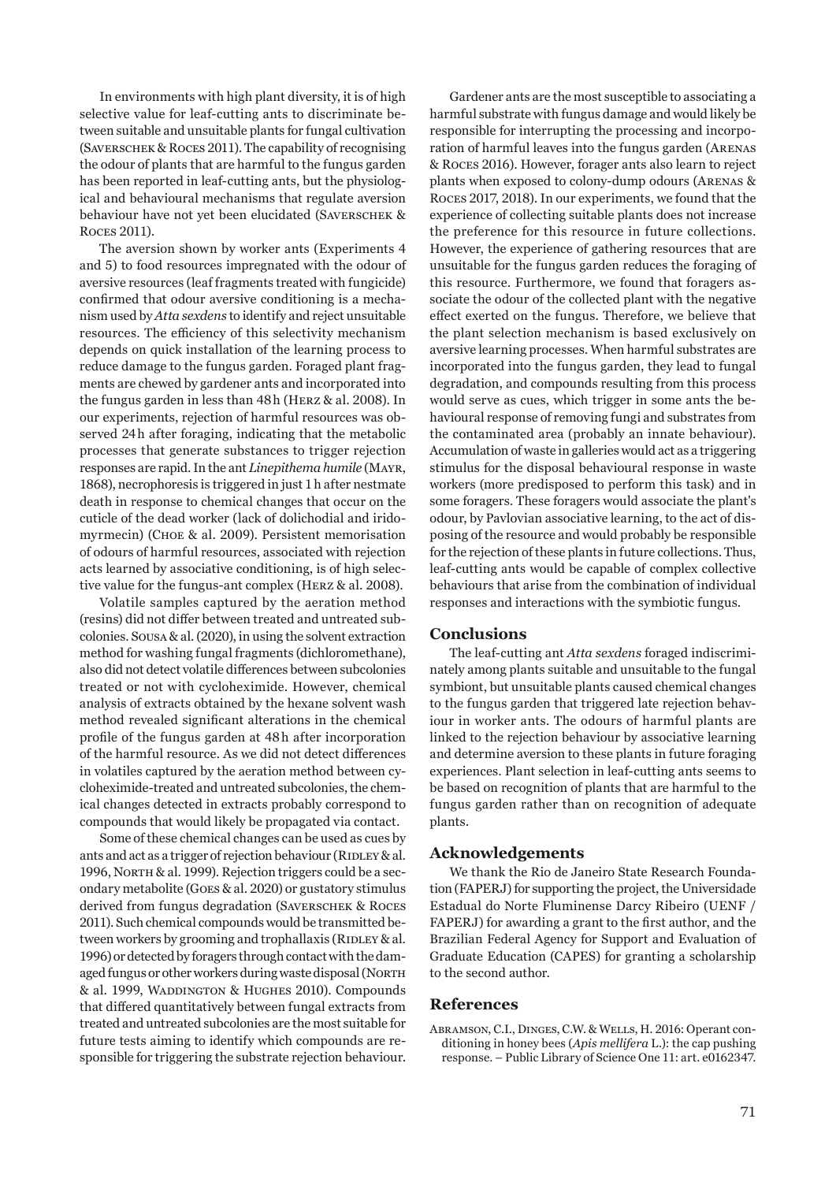In environments with high plant diversity, it is of high selective value for leaf-cutting ants to discriminate between suitable and unsuitable plants for fungal cultivation (Saverschek & Roces 2011). The capability of recognising the odour of plants that are harmful to the fungus garden has been reported in leaf-cutting ants, but the physiological and behavioural mechanisms that regulate aversion behaviour have not yet been elucidated (Saverschek & Roces 2011).

The aversion shown by worker ants (Experiments 4 and 5) to food resources impregnated with the odour of aversive resources (leaf fragments treated with fungicide) confirmed that odour aversive conditioning is a mechanism used by *Atta sexdens* to identify and reject unsuitable resources. The efficiency of this selectivity mechanism depends on quick installation of the learning process to reduce damage to the fungus garden. Foraged plant fragments are chewed by gardener ants and incorporated into the fungus garden in less than 48h (Herz & al. 2008). In our experiments, rejection of harmful resources was observed 24h after foraging, indicating that the metabolic processes that generate substances to trigger rejection responses are rapid. In the ant *Linepithema humile* (Mayr, 1868), necrophoresis is triggered in just 1h after nestmate death in response to chemical changes that occur on the cuticle of the dead worker (lack of dolichodial and iridomyrmecin) (Choe & al. 2009). Persistent memorisation of odours of harmful resources, associated with rejection acts learned by associative conditioning, is of high selective value for the fungus-ant complex (Herz & al. 2008).

Volatile samples captured by the aeration method (resins) did not differ between treated and untreated subcolonies. Sousa & al. (2020), in using the solvent extraction method for washing fungal fragments (dichloromethane), also did not detect volatile differences between subcolonies treated or not with cycloheximide. However, chemical analysis of extracts obtained by the hexane solvent wash method revealed significant alterations in the chemical profile of the fungus garden at 48h after incorporation of the harmful resource. As we did not detect differences in volatiles captured by the aeration method between cycloheximide-treated and untreated subcolonies, the chemical changes detected in extracts probably correspond to compounds that would likely be propagated via contact.

Some of these chemical changes can be used as cues by ants and act as a trigger of rejection behaviour ( $R$ IDLEY & al. 1996, North & al. 1999). Rejection triggers could be a secondary metabolite (Goes & al. 2020) or gustatory stimulus derived from fungus degradation (Saverschek & Roces 2011). Such chemical compounds would be transmitted between workers by grooming and trophallaxis (RIDLEY & al. 1996) or detected by foragers through contact with the damaged fungus or other workers during waste disposal (NORTH & al. 1999, Waddington & Hughes 2010). Compounds that differed quantitatively between fungal extracts from treated and untreated subcolonies are the most suitable for future tests aiming to identify which compounds are responsible for triggering the substrate rejection behaviour.

Gardener ants are the most susceptible to associating a harmful substrate with fungus damage and would likely be responsible for interrupting the processing and incorporation of harmful leaves into the fungus garden (Arenas & Roces 2016). However, forager ants also learn to reject plants when exposed to colony-dump odours (Arenas & Roces 2017, 2018). In our experiments, we found that the experience of collecting suitable plants does not increase the preference for this resource in future collections. However, the experience of gathering resources that are unsuitable for the fungus garden reduces the foraging of this resource. Furthermore, we found that foragers associate the odour of the collected plant with the negative effect exerted on the fungus. Therefore, we believe that the plant selection mechanism is based exclusively on aversive learning processes. When harmful substrates are incorporated into the fungus garden, they lead to fungal degradation, and compounds resulting from this process would serve as cues, which trigger in some ants the behavioural response of removing fungi and substrates from the contaminated area (probably an innate behaviour). Accumulation of waste in galleries would act as a triggering stimulus for the disposal behavioural response in waste workers (more predisposed to perform this task) and in some foragers. These foragers would associate the plant's odour, by Pavlovian associative learning, to the act of disposing of the resource and would probably be responsible for the rejection of these plants in future collections. Thus, leaf-cutting ants would be capable of complex collective behaviours that arise from the combination of individual responses and interactions with the symbiotic fungus.

#### **Conclusions**

The leaf-cutting ant *Atta sexdens* foraged indiscriminately among plants suitable and unsuitable to the fungal symbiont, but unsuitable plants caused chemical changes to the fungus garden that triggered late rejection behaviour in worker ants. The odours of harmful plants are linked to the rejection behaviour by associative learning and determine aversion to these plants in future foraging experiences. Plant selection in leaf-cutting ants seems to be based on recognition of plants that are harmful to the fungus garden rather than on recognition of adequate plants.

## **Acknowledgements**

We thank the Rio de Janeiro State Research Foundation (FAPERJ) for supporting the project, the Universidade Estadual do Norte Fluminense Darcy Ribeiro (UENF / FAPERJ) for awarding a grant to the first author, and the Brazilian Federal Agency for Support and Evaluation of Graduate Education (CAPES) for granting a scholarship to the second author.

# **References**

Abramson, C.I., Dinges, C.W. & Wells, H. 2016: Operant conditioning in honey bees (*Apis mellifera* L.): the cap pushing response. – Public Library of Science One 11: art. e0162347.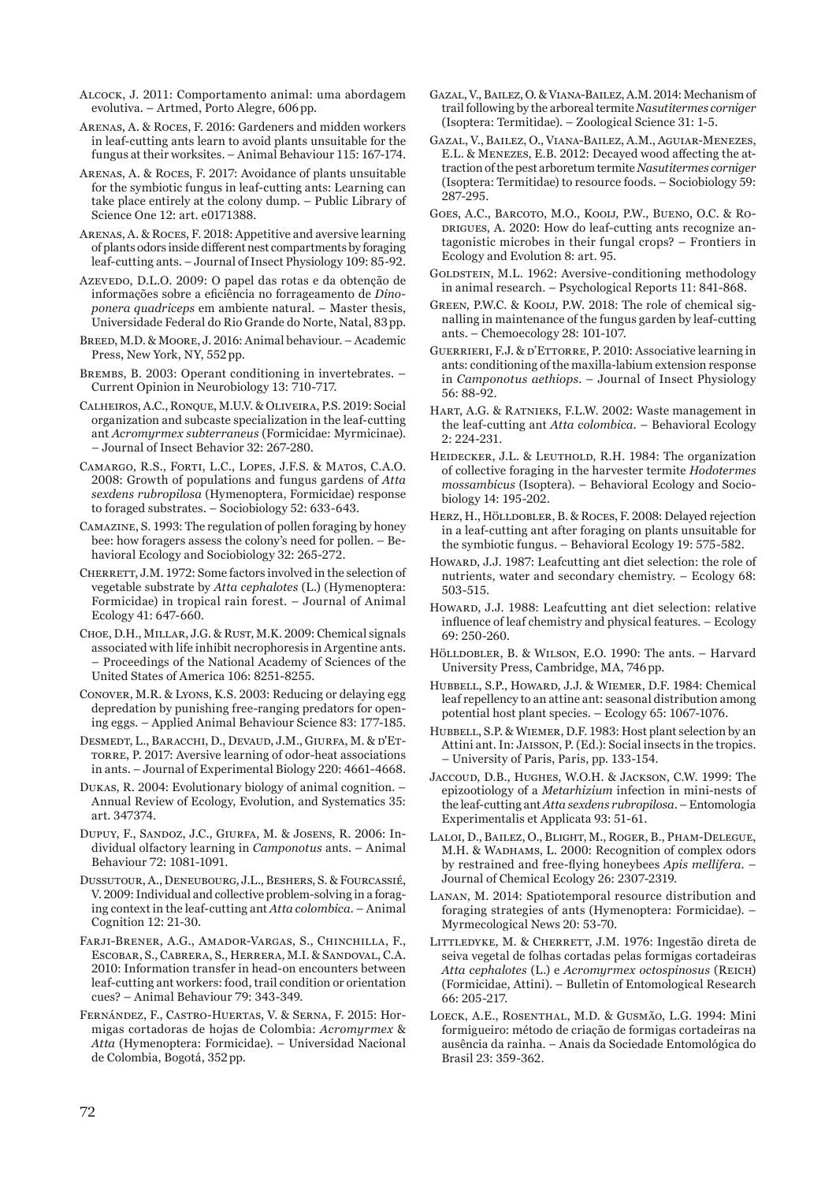- Alcock, J. 2011: Comportamento animal: uma abordagem evolutiva. – Artmed, Porto Alegre, 606pp.
- Arenas, A. & Roces, F. 2016: Gardeners and midden workers in leaf-cutting ants learn to avoid plants unsuitable for the fungus at their worksites. – Animal Behaviour 115: 167-174.
- Arenas, A. & Roces, F. 2017: Avoidance of plants unsuitable for the symbiotic fungus in leaf-cutting ants: Learning can take place entirely at the colony dump. – Public Library of Science One 12: art. e0171388.
- Arenas, A. & Roces, F. 2018: Appetitive and aversive learning of plants odors inside different nest compartments by foraging leaf-cutting ants. – Journal of Insect Physiology 109: 85-92.
- Azevedo, D.L.O. 2009: O papel das rotas e da obtenção de informações sobre a eficiência no forrageamento de *Dinoponera quadriceps* em ambiente natural. – Master thesis, Universidade Federal do Rio Grande do Norte, Natal, 83pp.
- Breed, M.D. & Moore, J. 2016: Animal behaviour. Academic Press, New York, NY, 552pp.
- Brembs, B. 2003: Operant conditioning in invertebrates. Current Opinion in Neurobiology 13: 710-717.
- Calheiros, A.C., Ronque, M.U.V. & Oliveira, P.S. 2019: Social organization and subcaste specialization in the leaf-cutting ant *Acromyrmex subterraneus* (Formicidae: Myrmicinae). – Journal of Insect Behavior 32: 267-280.
- Camargo, R.S., Forti, L.C., Lopes, J.F.S. & Matos, C.A.O. 2008: Growth of populations and fungus gardens of *Atta sexdens rubropilosa* (Hymenoptera, Formicidae) response to foraged substrates. – Sociobiology 52: 633-643.
- Camazine, S. 1993: The regulation of pollen foraging by honey bee: how foragers assess the colony's need for pollen. – Behavioral Ecology and Sociobiology 32: 265-272.
- CHERRETT, J.M. 1972: Some factors involved in the selection of vegetable substrate by *Atta cephalotes* (L.) (Hymenoptera: Formicidae) in tropical rain forest. – Journal of Animal Ecology 41: 647-660.
- Choe, D.H., Millar, J.G. & Rust, M.K. 2009: Chemical signals associated with life inhibit necrophoresis in Argentine ants. – Proceedings of the National Academy of Sciences of the United States of America 106: 8251-8255.
- Conover, M.R. & Lyons, K.S. 2003: Reducing or delaying egg depredation by punishing free-ranging predators for opening eggs. – Applied Animal Behaviour Science 83: 177-185.
- Desmedt, L., Baracchi, D., Devaud, J.M., Giurfa, M. & d'Et-TORRE, P. 2017: Aversive learning of odor-heat associations in ants. – Journal of Experimental Biology 220: 4661-4668.
- Dukas, R. 2004: Evolutionary biology of animal cognition. Annual Review of Ecology, Evolution, and Systematics 35: art. 347374.
- Dupuy, F., Sandoz, J.C., Giurfa, M. & Josens, R. 2006: Individual olfactory learning in *Camponotus* ants. – Animal Behaviour 72: 1081-1091.
- Dussutour, A., Deneubourg, J.L., Beshers, S. & Fourcassié, V. 2009: Individual and collective problem-solving in a foraging context in the leaf-cutting ant *Atta colombica.* – Animal Cognition 12: 21-30.
- Farji-Brener, A.G., Amador-Vargas, S., Chinchilla, F., Escobar, S., Cabrera, S., Herrera, M.I. & Sandoval, C.A. 2010: Information transfer in head-on encounters between leaf-cutting ant workers: food, trail condition or orientation cues? – Animal Behaviour 79: 343-349.
- Fernández, F., Castro-Huertas, V. & Serna, F. 2015: Hormigas cortadoras de hojas de Colombia: *Acromyrmex* & *Atta* (Hymenoptera: Formicidae). – Universidad Nacional de Colombia, Bogotá, 352pp.
- Gazal, V., Bailez, O. & Viana-Bailez, A.M. 2014: Mechanism of trail following by the arboreal termite *Nasutitermes corniger* (Isoptera: Termitidae). – Zoological Science 31: 1-5.
- Gazal, V., Bailez, O., Viana-Bailez, A.M., Aguiar-Menezes, E.L. & Menezes, E.B. 2012: Decayed wood affecting the attraction of the pest arboretum termite *Nasutitermes corniger*  (Isoptera: Termitidae) to resource foods. – Sociobiology 59: 287-295.
- Goes, A.C., Barcoto, M.O., Kooij, P.W., Bueno, O.C. & Rodrigues, A. 2020: How do leaf-cutting ants recognize antagonistic microbes in their fungal crops? – Frontiers in Ecology and Evolution 8: art. 95.
- GOLDSTEIN, M.L. 1962: Aversive-conditioning methodology in animal research. – Psychological Reports 11: 841-868.
- GREEN, P.W.C. & KOOIJ, P.W. 2018: The role of chemical signalling in maintenance of the fungus garden by leaf-cutting ants. – Chemoecology 28: 101-107.
- GUERRIERI, F.J. & D'ETTORRE, P. 2010: Associative learning in ants: conditioning of the maxilla-labium extension response in *Camponotus aethiops*. – Journal of Insect Physiology 56: 88-92.
- Hart, A.G. & Ratnieks, F.L.W. 2002: Waste management in the leaf-cutting ant *Atta colombica*. – Behavioral Ecology 2: 224-231.
- HEIDECKER, J.L. & LEUTHOLD, R.H. 1984: The organization of collective foraging in the harvester termite *Hodotermes mossambicus* (Isoptera). – Behavioral Ecology and Sociobiology 14: 195-202.
- Herz, H., Hölldobler, B. & Roces, F. 2008: Delayed rejection in a leaf-cutting ant after foraging on plants unsuitable for the symbiotic fungus. – Behavioral Ecology 19: 575-582.
- Howard, J.J. 1987: Leafcutting ant diet selection: the role of nutrients, water and secondary chemistry. – Ecology 68: 503-515.
- HOWARD, J.J. 1988: Leafcutting ant diet selection: relative influence of leaf chemistry and physical features. – Ecology 69: 250-260.
- Hölldobler, B. & Wilson, E.O. 1990: The ants. Harvard University Press, Cambridge, MA, 746pp.
- Hubbell, S.P., Howard, J.J. & Wiemer, D.F. 1984: Chemical leaf repellency to an attine ant: seasonal distribution among potential host plant species. – Ecology 65: 1067-1076.
- HUBBELL, S.P. & WIEMER, D.F. 1983: Host plant selection by an Attini ant. In: Jaisson, P. (Ed.): Social insects in the tropics. – University of Paris, Paris, pp. 133-154.
- Jaccoud, D.B., Hughes, W.O.H. & Jackson, C.W. 1999: The epizootiology of a *Metarhizium* infection in mini-nests of the leaf-cutting ant *Atta sexdens rubropilosa*. – Entomologia Experimentalis et Applicata 93: 51-61.
- Laloi, D., Bailez, O., Blight, M., Roger, B., Pham-Delegue, M.H. & Wadhams, L. 2000: Recognition of complex odors by restrained and free-flying honeybees *Apis mellifera*. – Journal of Chemical Ecology 26: 2307-2319.
- Lanan, M. 2014: Spatiotemporal resource distribution and foraging strategies of ants (Hymenoptera: Formicidae). – Myrmecological News 20: 53-70.
- LITTLEDYKE, M. & CHERRETT, J.M. 1976: Ingestão direta de seiva vegetal de folhas cortadas pelas formigas cortadeiras *Atta cephalotes* (L.) e *Acromyrmex octospinosus* (Reich) (Formicidae, Attini). – Bulletin of Entomological Research 66: 205-217.
- Loeck, A.E., Rosenthal, M.D. & Gusmão, L.G. 1994: Mini formigueiro: método de criação de formigas cortadeiras na ausência da rainha. – Anais da Sociedade Entomológica do Brasil 23: 359-362.